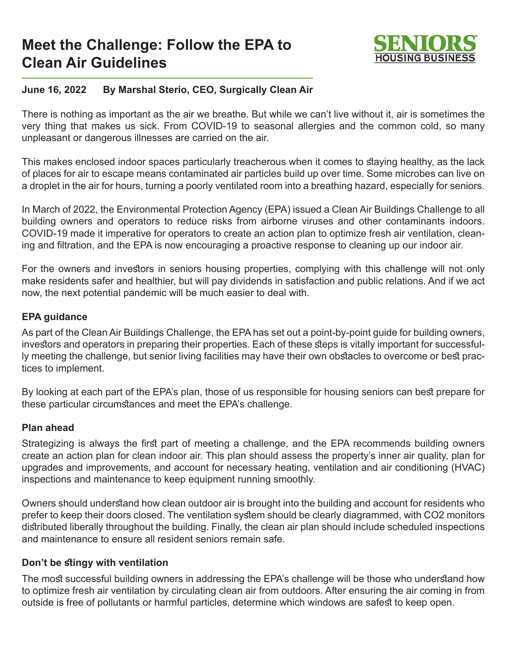# **Meet the Challenge: Follow the EPA to Clean Air Guidelines**



## **June 16, 2022 By Marshal Sterio, CEO, Surgically Clean Air**

There is nothing as important as the air we breathe. But while we can't live without it, air is sometimes the very thing that makes us sick. From COVID-19 to seasonal allergies and the common cold, so many unpleasant or dangerous illnesses are carried on the air.

This makes enclosed indoor spaces particularly treacherous when it comes to staying healthy, as the lack of places for air to escape means contaminated air particles build up over time. Some microbes can live on a droplet in the air for hours, turning a poorly ventilated room into a breathing hazard, especially for seniors.

In March of 2022, the Environmental Protection Agency (EPA) issued a Clean Air Buildings Challenge to all building owners and operators to reduce risks from airborne viruses and other contaminants indoors. COVID-19 made it imperative for operators to create an action plan to optimize fresh air ventilation, cleaning and filtration, and the EPA is now encouraging a proactive response to cleaning up our indoor air.

For the owners and investors in seniors housing properties, complying with this challenge will not only make residents safer and healthier, but will pay dividends in satisfaction and public relations. And if we act now, the next potential pandemic will be much easier to deal with.

#### **EPA guidance**

As part of the Clean Air Buildings Challenge, the EPA has set out a point-by-point guide for building owners, investors and operators in preparing their properties. Each of these steps is vitally important for successfully meeting the challenge, but senior living facilities may have their own obstacles to overcome or best practices to implement.

By looking at each part of the EPA's plan, those of us responsible for housing seniors can best prepare for these particular circumstances and meet the EPA's challenge.

#### **Plan ahead**

Strategizing is always the first part of meeting a challenge, and the EPA recommends building owners create an action plan for clean indoor air. This plan should assess the property's inner air quality, plan for upgrades and improvements, and account for necessary heating, ventilation and air conditioning (HVAC) inspections and maintenance to keep equipment running smoothly.

Owners should understand how clean outdoor air is brought into the building and account for residents who prefer to keep their doors closed. The ventilation system should be clearly diagrammed, with CO2 monitors distributed liberally throughout the building. Finally, the clean air plan should include scheduled inspections and maintenance to ensure all resident seniors remain safe.

## **Don't be stingy with ventilation**

The most successful building owners in addressing the EPA's challenge will be those who understand how to optimize fresh air ventilation by circulating clean air from outdoors. After ensuring the air coming in from outside is free of pollutants or harmful particles, determine which windows are safest to keep open.